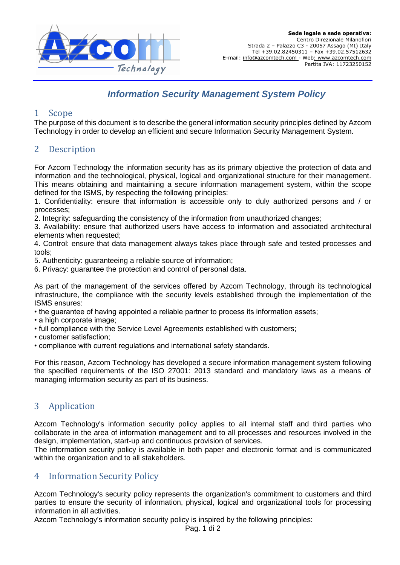

# *Information Security Management System Policy*

### 1 Scope

The purpose of this document is to describe the general information security principles defined by Azcom Technology in order to develop an efficient and secure Information Security Management System.

### 2 Description

For Azcom Technology the information security has as its primary objective the protection of data and information and the technological, physical, logical and organizational structure for their management. This means obtaining and maintaining a secure information management system, within the scope defined for the ISMS, by respecting the following principles:

1. Confidentiality: ensure that information is accessible only to duly authorized persons and / or processes;

2. Integrity: safeguarding the consistency of the information from unauthorized changes;

3. Availability: ensure that authorized users have access to information and associated architectural elements when requested;

4. Control: ensure that data management always takes place through safe and tested processes and tools;

5. Authenticity: guaranteeing a reliable source of information;

6. Privacy: guarantee the protection and control of personal data.

As part of the management of the services offered by Azcom Technology, through its technological infrastructure, the compliance with the security levels established through the implementation of the ISMS ensures:

• the guarantee of having appointed a reliable partner to process its information assets;

- a high corporate image:
- full compliance with the Service Level Agreements established with customers;
- customer satisfaction;
- compliance with current regulations and international safety standards.

For this reason, Azcom Technology has developed a secure information management system following the specified requirements of the ISO 27001: 2013 standard and mandatory laws as a means of managing information security as part of its business.

# 3 Application

Azcom Technology's information security policy applies to all internal staff and third parties who collaborate in the area of information management and to all processes and resources involved in the design, implementation, start-up and continuous provision of services.

The information security policy is available in both paper and electronic format and is communicated within the organization and to all stakeholders.

### 4 Information Security Policy

Azcom Technology's security policy represents the organization's commitment to customers and third parties to ensure the security of information, physical, logical and organizational tools for processing information in all activities.

Azcom Technology's information security policy is inspired by the following principles: